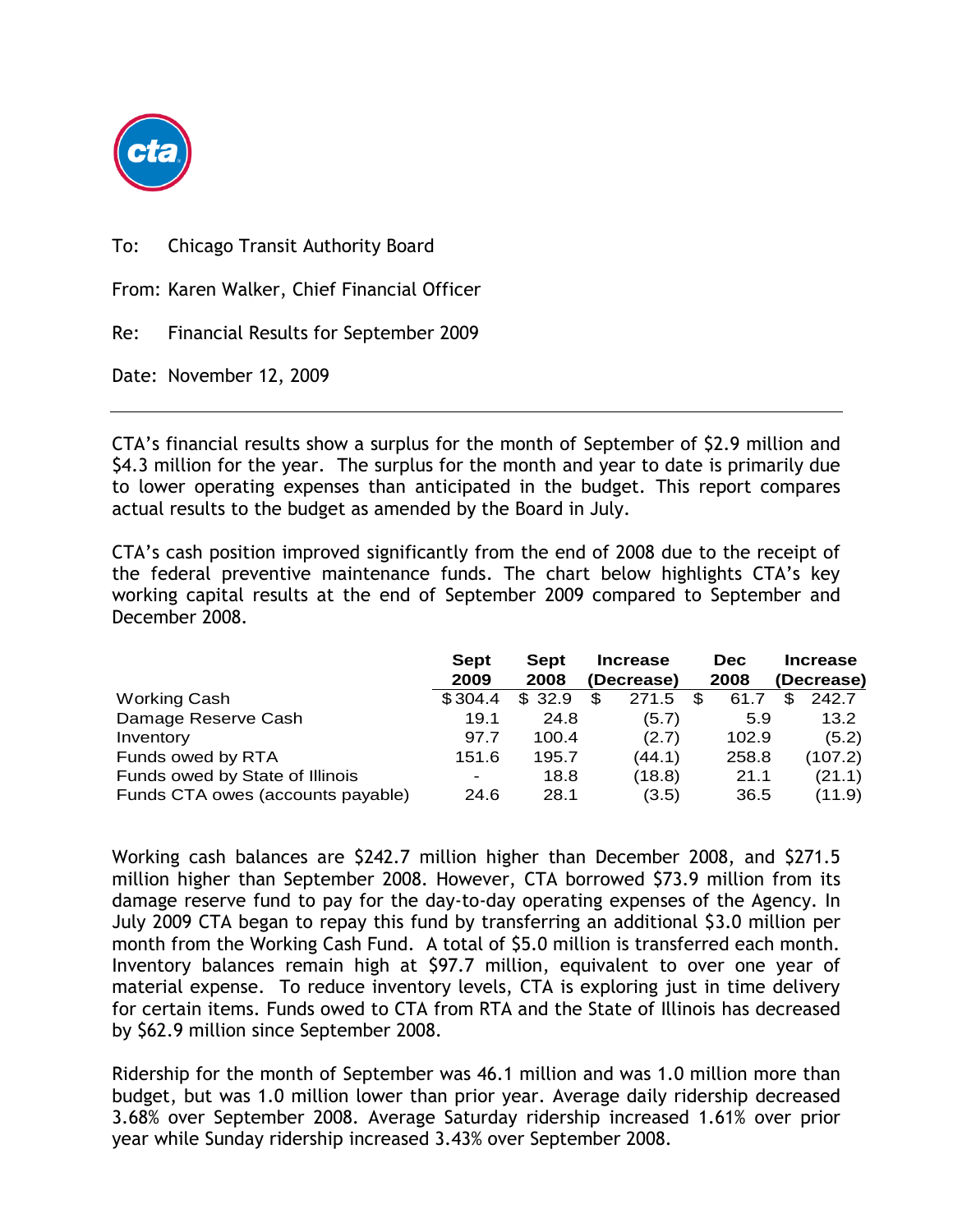

To: Chicago Transit Authority Board

From: Karen Walker, Chief Financial Officer

Re: Financial Results for September 2009

Date: November 12, 2009

CTA's financial results show a surplus for the month of September of \$2.9 million and \$4.3 million for the year. The surplus for the month and year to date is primarily due to lower operating expenses than anticipated in the budget. This report compares actual results to the budget as amended by the Board in July.

CTA's cash position improved significantly from the end of 2008 due to the receipt of the federal preventive maintenance funds. The chart below highlights CTA's key working capital results at the end of September 2009 compared to September and December 2008.

|                                   | <b>Sept</b><br>2009 | Sept<br>2008 | <b>Increase</b><br>(Decrease) | <b>Dec</b><br>2008 | <b>Increase</b><br>(Decrease) |
|-----------------------------------|---------------------|--------------|-------------------------------|--------------------|-------------------------------|
| <b>Working Cash</b>               | \$304.4             | \$32.9       | \$.<br>271.5                  | \$.<br>61.7        | 242.7<br>\$.                  |
| Damage Reserve Cash               | 19.1                | 24.8         | (5.7)                         | 5.9                | 13.2                          |
| Inventory                         | 97.7                | 100.4        | (2.7)                         | 102.9              | (5.2)                         |
| Funds owed by RTA                 | 151.6               | 195.7        | (44.1)                        | 258.8              | (107.2)                       |
| Funds owed by State of Illinois   | ۰                   | 18.8         | (18.8)                        | 21.1               | (21.1)                        |
| Funds CTA owes (accounts payable) | 24.6                | 28.1         | (3.5)                         | 36.5               | (11.9)                        |

Working cash balances are \$242.7 million higher than December 2008, and \$271.5 million higher than September 2008. However, CTA borrowed \$73.9 million from its damage reserve fund to pay for the day-to-day operating expenses of the Agency. In July 2009 CTA began to repay this fund by transferring an additional \$3.0 million per month from the Working Cash Fund. A total of \$5.0 million is transferred each month. Inventory balances remain high at \$97.7 million, equivalent to over one year of material expense. To reduce inventory levels, CTA is exploring just in time delivery for certain items. Funds owed to CTA from RTA and the State of Illinois has decreased by \$62.9 million since September 2008.

Ridership for the month of September was 46.1 million and was 1.0 million more than budget, but was 1.0 million lower than prior year. Average daily ridership decreased 3.68% over September 2008. Average Saturday ridership increased 1.61% over prior year while Sunday ridership increased 3.43% over September 2008.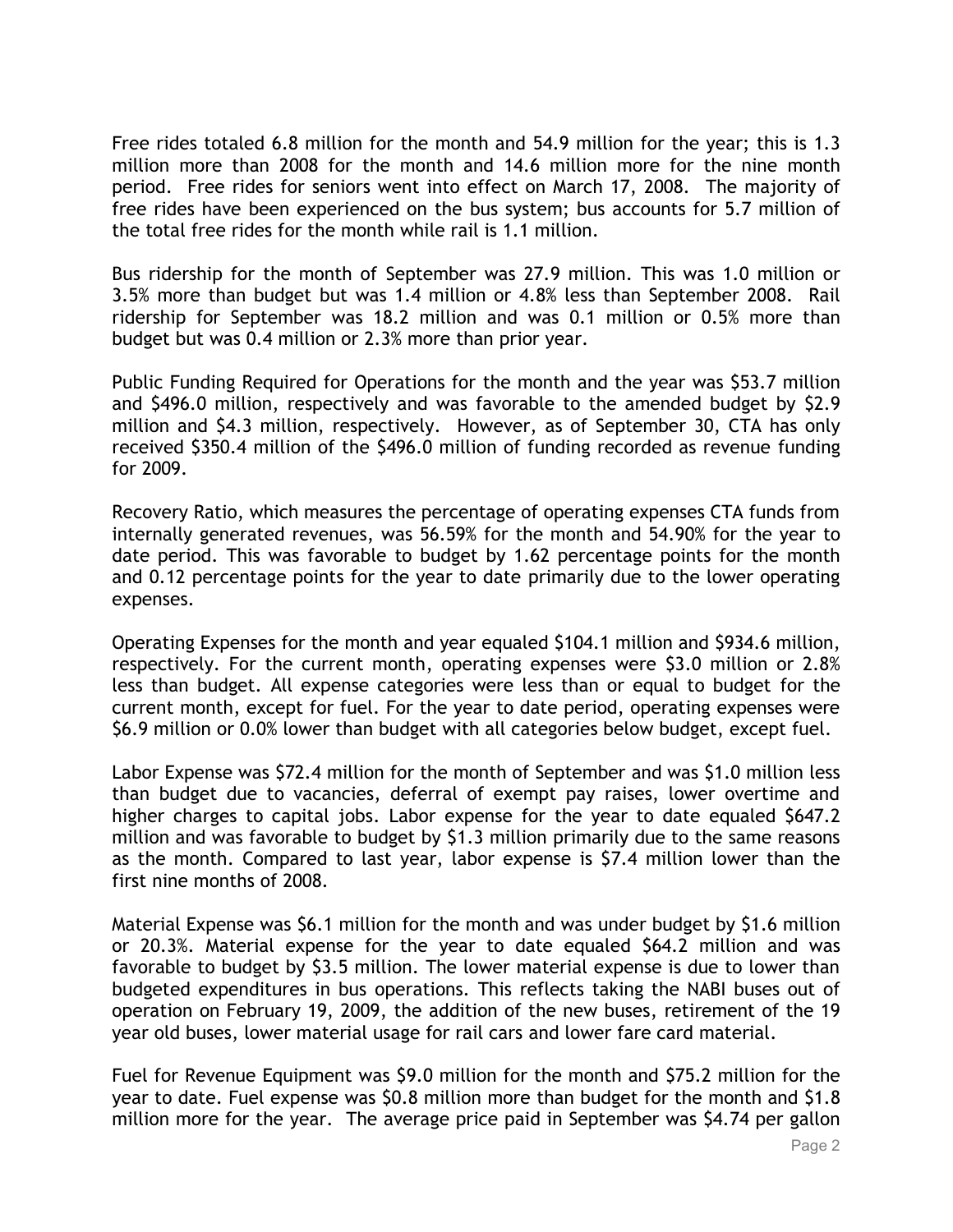Free rides totaled 6.8 million for the month and 54.9 million for the year; this is 1.3 million more than 2008 for the month and 14.6 million more for the nine month period. Free rides for seniors went into effect on March 17, 2008. The majority of free rides have been experienced on the bus system; bus accounts for 5.7 million of the total free rides for the month while rail is 1.1 million.

Bus ridership for the month of September was 27.9 million. This was 1.0 million or 3.5% more than budget but was 1.4 million or 4.8% less than September 2008. Rail ridership for September was 18.2 million and was 0.1 million or 0.5% more than budget but was 0.4 million or 2.3% more than prior year.

Public Funding Required for Operations for the month and the year was \$53.7 million and \$496.0 million, respectively and was favorable to the amended budget by \$2.9 million and \$4.3 million, respectively. However, as of September 30, CTA has only received \$350.4 million of the \$496.0 million of funding recorded as revenue funding for 2009.

Recovery Ratio, which measures the percentage of operating expenses CTA funds from internally generated revenues, was 56.59% for the month and 54.90% for the year to date period. This was favorable to budget by 1.62 percentage points for the month and 0.12 percentage points for the year to date primarily due to the lower operating expenses.

Operating Expenses for the month and year equaled \$104.1 million and \$934.6 million, respectively. For the current month, operating expenses were \$3.0 million or 2.8% less than budget. All expense categories were less than or equal to budget for the current month, except for fuel. For the year to date period, operating expenses were \$6.9 million or 0.0% lower than budget with all categories below budget, except fuel.

Labor Expense was \$72.4 million for the month of September and was \$1.0 million less than budget due to vacancies, deferral of exempt pay raises, lower overtime and higher charges to capital jobs. Labor expense for the year to date equaled \$647.2 million and was favorable to budget by \$1.3 million primarily due to the same reasons as the month. Compared to last year, labor expense is \$7.4 million lower than the first nine months of 2008.

Material Expense was \$6.1 million for the month and was under budget by \$1.6 million or 20.3%. Material expense for the year to date equaled \$64.2 million and was favorable to budget by \$3.5 million. The lower material expense is due to lower than budgeted expenditures in bus operations. This reflects taking the NABI buses out of operation on February 19, 2009, the addition of the new buses, retirement of the 19 year old buses, lower material usage for rail cars and lower fare card material.

Fuel for Revenue Equipment was \$9.0 million for the month and \$75.2 million for the year to date. Fuel expense was \$0.8 million more than budget for the month and \$1.8 million more for the year. The average price paid in September was \$4.74 per gallon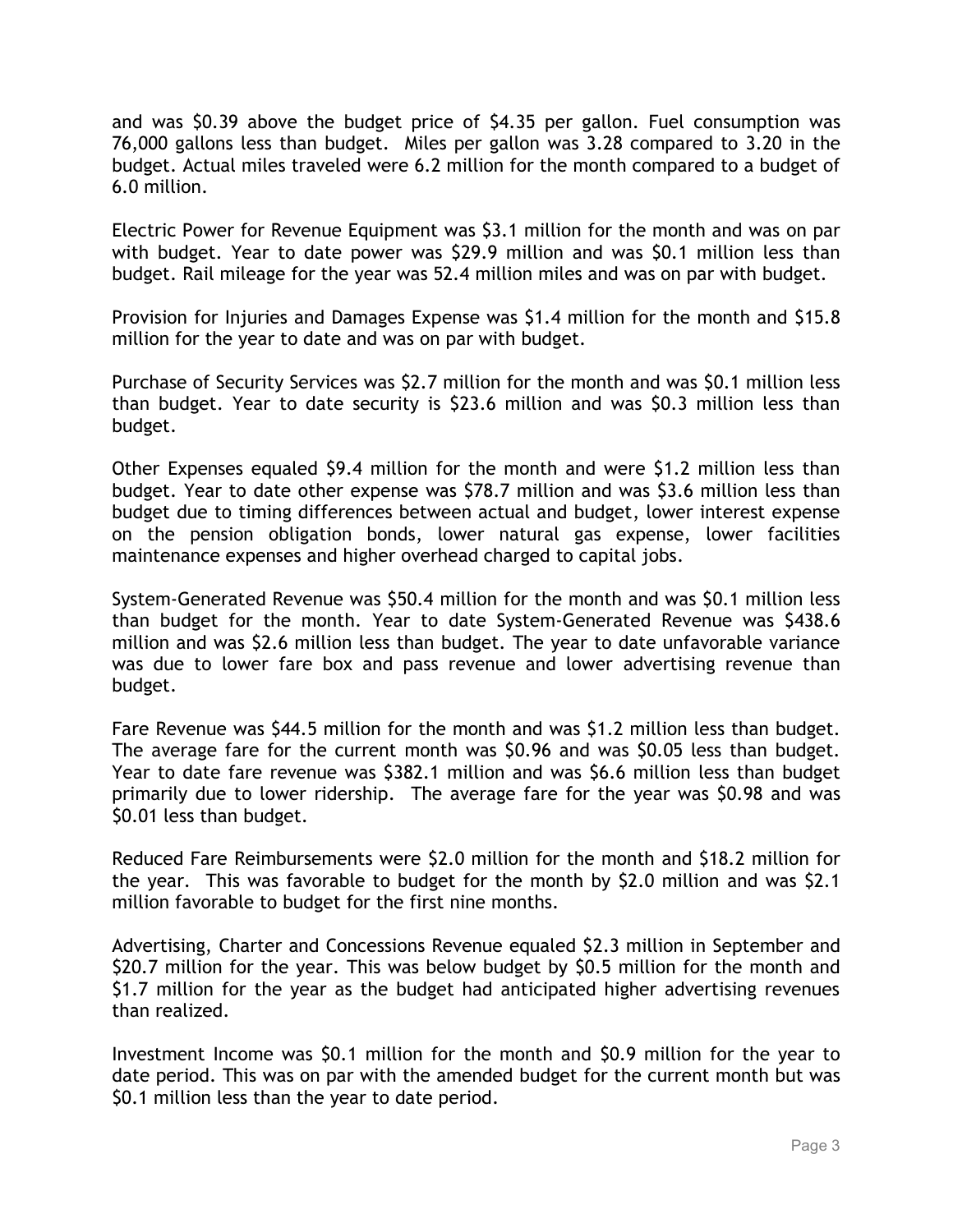and was \$0.39 above the budget price of \$4.35 per gallon. Fuel consumption was 76,000 gallons less than budget. Miles per gallon was 3.28 compared to 3.20 in the budget. Actual miles traveled were 6.2 million for the month compared to a budget of 6.0 million.

Electric Power for Revenue Equipment was \$3.1 million for the month and was on par with budget. Year to date power was \$29.9 million and was \$0.1 million less than budget. Rail mileage for the year was 52.4 million miles and was on par with budget.

Provision for Injuries and Damages Expense was \$1.4 million for the month and \$15.8 million for the year to date and was on par with budget.

Purchase of Security Services was \$2.7 million for the month and was \$0.1 million less than budget. Year to date security is \$23.6 million and was \$0.3 million less than budget.

Other Expenses equaled \$9.4 million for the month and were \$1.2 million less than budget. Year to date other expense was \$78.7 million and was \$3.6 million less than budget due to timing differences between actual and budget, lower interest expense on the pension obligation bonds, lower natural gas expense, lower facilities maintenance expenses and higher overhead charged to capital jobs.

System-Generated Revenue was \$50.4 million for the month and was \$0.1 million less than budget for the month. Year to date System-Generated Revenue was \$438.6 million and was \$2.6 million less than budget. The year to date unfavorable variance was due to lower fare box and pass revenue and lower advertising revenue than budget.

Fare Revenue was \$44.5 million for the month and was \$1.2 million less than budget. The average fare for the current month was \$0.96 and was \$0.05 less than budget. Year to date fare revenue was \$382.1 million and was \$6.6 million less than budget primarily due to lower ridership. The average fare for the year was \$0.98 and was \$0.01 less than budget.

Reduced Fare Reimbursements were \$2.0 million for the month and \$18.2 million for the year. This was favorable to budget for the month by \$2.0 million and was \$2.1 million favorable to budget for the first nine months.

Advertising, Charter and Concessions Revenue equaled \$2.3 million in September and \$20.7 million for the year. This was below budget by \$0.5 million for the month and \$1.7 million for the year as the budget had anticipated higher advertising revenues than realized.

Investment Income was \$0.1 million for the month and \$0.9 million for the year to date period. This was on par with the amended budget for the current month but was \$0.1 million less than the year to date period.